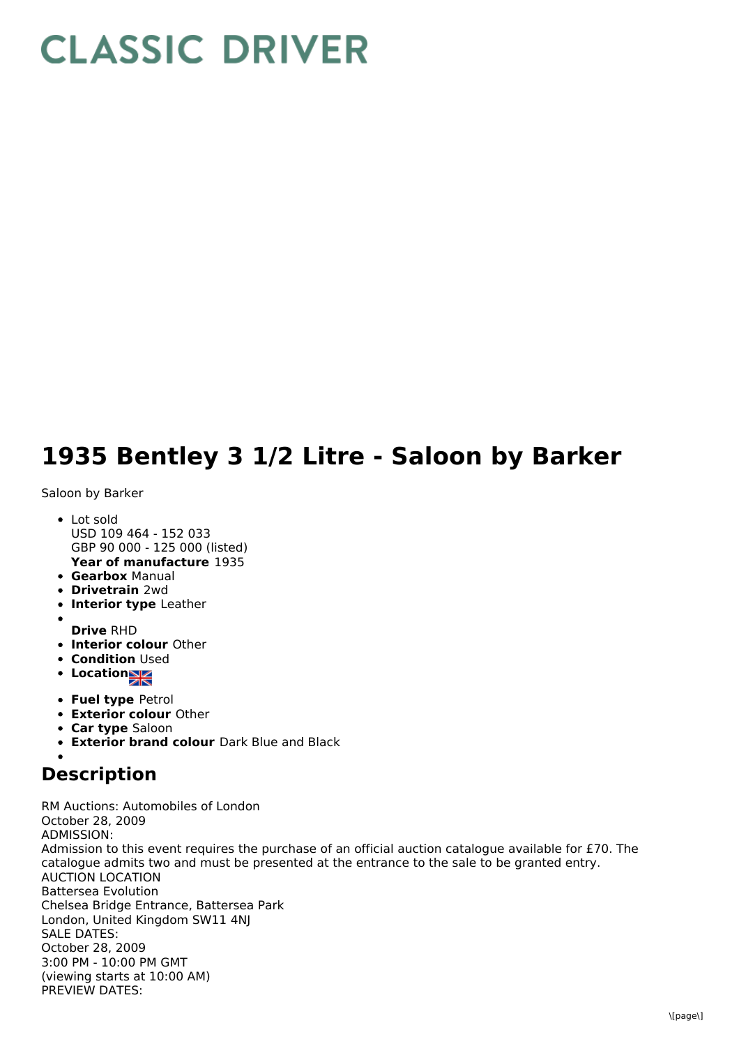## **CLASSIC DRIVER**

## **1935 Bentley 3 1/2 Litre - Saloon by Barker**

Saloon by Barker

- **Year of manufacture** 1935 • Lot sold USD 109 464 - 152 033 GBP 90 000 - 125 000 (listed)
- **Gearbox** Manual
- **Drivetrain** 2wd
- **Interior type** Leather
- 
- **Drive** RHD
- **Interior colour** Other
- **Condition Used**
- **Locations**
- **Fuel type** Petrol
- **Exterior colour** Other
- **Car type** Saloon
- **Exterior brand colour** Dark Blue and Black

## **Description**

RM Auctions: Automobiles of London October 28, 2009 ADMISSION: Admission to this event requires the purchase of an official auction catalogue available for £70. The catalogue admits two and must be presented at the entrance to the sale to be granted entry. AUCTION LOCATION Battersea Evolution Chelsea Bridge Entrance, Battersea Park London, United Kingdom SW11 4NJ SALE DATES: October 28, 2009 3:00 PM - 10:00 PM GMT (viewing starts at 10:00 AM) PREVIEW DATES: